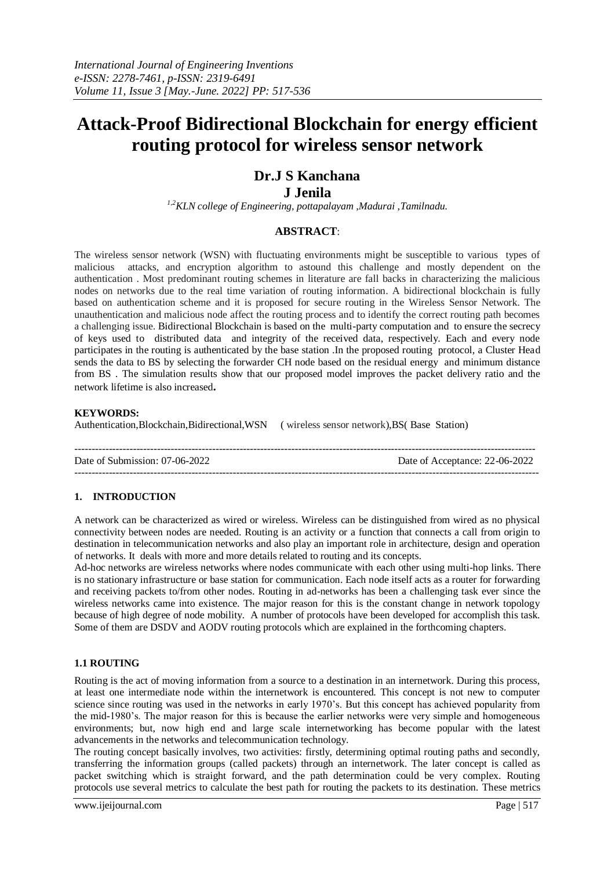# **Attack-Proof Bidirectional Blockchain for energy efficient routing protocol for wireless sensor network**

# **Dr.J S Kanchana**

# **J Jenila**

*1,2KLN college of Engineering, pottapalayam ,Madurai ,Tamilnadu.*

# **ABSTRACT**:

The wireless sensor network (WSN) with fluctuating environments might be susceptible to various types of malicious attacks, and encryption algorithm to astound this challenge and mostly dependent on the authentication . Most predominant routing schemes in literature are fall backs in characterizing the malicious nodes on networks due to the real time variation of routing information. A bidirectional blockchain is fully based on authentication scheme and it is proposed for secure routing in the Wireless Sensor Network. The unauthentication and malicious node affect the routing process and to identify the correct routing path becomes a challenging issue. Bidirectional Blockchain is based on the multi-party computation and to ensure the secrecy of keys used to distributed data and integrity of the received data, respectively. Each and every node participates in the routing is authenticated by the base station .In the proposed routing protocol, a Cluster Head sends the data to BS by selecting the forwarder CH node based on the residual energy and minimum distance from BS . The simulation results show that our proposed model improves the packet delivery ratio and the network lifetime is also increased**.**

#### **KEYWORDS:**

Authentication,Blockchain,Bidirectional,WSN ( wireless sensor network),BS( Base Station)

| Date of Submission: 07-06-2022 | Date of Acceptance: 22-06-2022 |
|--------------------------------|--------------------------------|
|                                |                                |

# **1. INTRODUCTION**

A network can be characterized as wired or wireless. Wireless can be distinguished from wired as no physical connectivity between nodes are needed. Routing is an activity or a function that connects a call from origin to destination in telecommunication networks and also play an important role in architecture, design and operation of networks. It deals with more and more details related to routing and its concepts.

Ad-hoc networks are wireless networks where nodes communicate with each other using multi-hop links. There is no stationary infrastructure or base station for communication. Each node itself acts as a router for forwarding and receiving packets to/from other nodes. Routing in ad-networks has been a challenging task ever since the wireless networks came into existence. The major reason for this is the constant change in network topology because of high degree of node mobility. A number of protocols have been developed for accomplish this task. Some of them are DSDV and AODV routing protocols which are explained in the forthcoming chapters.

#### **1.1 ROUTING**

Routing is the act of moving information from a source to a destination in an internetwork. During this process, at least one intermediate node within the internetwork is encountered. This concept is not new to computer science since routing was used in the networks in early 1970's. But this concept has achieved popularity from the mid-1980's. The major reason for this is because the earlier networks were very simple and homogeneous environments; but, now high end and large scale internetworking has become popular with the latest advancements in the networks and telecommunication technology.

The routing concept basically involves, two activities: firstly, determining optimal routing paths and secondly, transferring the information groups (called packets) through an internetwork. The later concept is called as packet switching which is straight forward, and the path determination could be very complex. Routing protocols use several metrics to calculate the best path for routing the packets to its destination. These metrics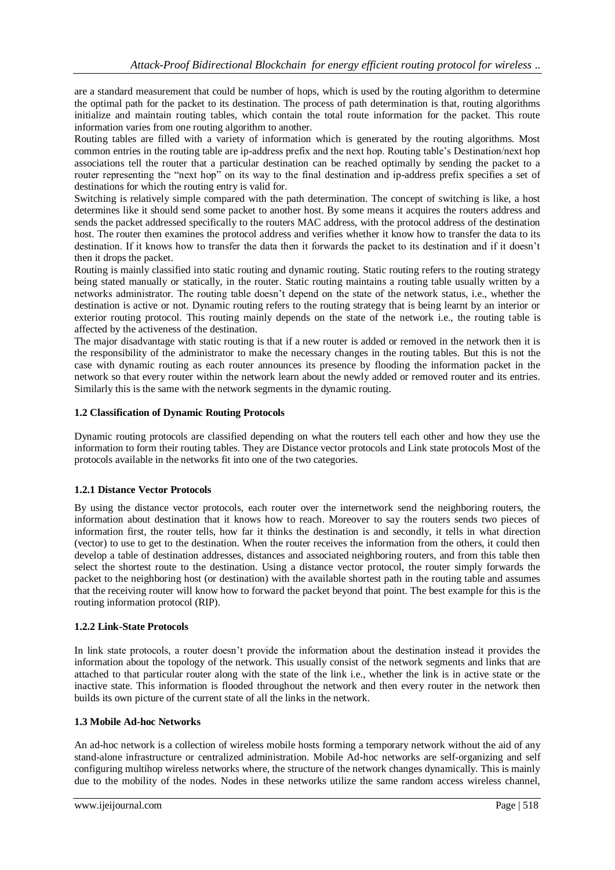are a standard measurement that could be number of hops, which is used by the routing algorithm to determine the optimal path for the packet to its destination. The process of path determination is that, routing algorithms initialize and maintain routing tables, which contain the total route information for the packet. This route information varies from one routing algorithm to another.

Routing tables are filled with a variety of information which is generated by the routing algorithms. Most common entries in the routing table are ip-address prefix and the next hop. Routing table's Destination/next hop associations tell the router that a particular destination can be reached optimally by sending the packet to a router representing the "next hop" on its way to the final destination and ip-address prefix specifies a set of destinations for which the routing entry is valid for.

Switching is relatively simple compared with the path determination. The concept of switching is like, a host determines like it should send some packet to another host. By some means it acquires the routers address and sends the packet addressed specifically to the routers MAC address, with the protocol address of the destination host. The router then examines the protocol address and verifies whether it know how to transfer the data to its destination. If it knows how to transfer the data then it forwards the packet to its destination and if it doesn't then it drops the packet.

Routing is mainly classified into static routing and dynamic routing. Static routing refers to the routing strategy being stated manually or statically, in the router. Static routing maintains a routing table usually written by a networks administrator. The routing table doesn't depend on the state of the network status, i.e., whether the destination is active or not. Dynamic routing refers to the routing strategy that is being learnt by an interior or exterior routing protocol. This routing mainly depends on the state of the network i.e., the routing table is affected by the activeness of the destination.

The major disadvantage with static routing is that if a new router is added or removed in the network then it is the responsibility of the administrator to make the necessary changes in the routing tables. But this is not the case with dynamic routing as each router announces its presence by flooding the information packet in the network so that every router within the network learn about the newly added or removed router and its entries. Similarly this is the same with the network segments in the dynamic routing.

# **1.2 Classification of Dynamic Routing Protocols**

Dynamic routing protocols are classified depending on what the routers tell each other and how they use the information to form their routing tables. They are Distance vector protocols and Link state protocols Most of the protocols available in the networks fit into one of the two categories.

# **1.2.1 Distance Vector Protocols**

By using the distance vector protocols, each router over the internetwork send the neighboring routers, the information about destination that it knows how to reach. Moreover to say the routers sends two pieces of information first, the router tells, how far it thinks the destination is and secondly, it tells in what direction (vector) to use to get to the destination. When the router receives the information from the others, it could then develop a table of destination addresses, distances and associated neighboring routers, and from this table then select the shortest route to the destination. Using a distance vector protocol, the router simply forwards the packet to the neighboring host (or destination) with the available shortest path in the routing table and assumes that the receiving router will know how to forward the packet beyond that point. The best example for this is the routing information protocol (RIP).

# **1.2.2 Link-State Protocols**

In link state protocols, a router doesn't provide the information about the destination instead it provides the information about the topology of the network. This usually consist of the network segments and links that are attached to that particular router along with the state of the link i.e., whether the link is in active state or the inactive state. This information is flooded throughout the network and then every router in the network then builds its own picture of the current state of all the links in the network.

# **1.3 Mobile Ad-hoc Networks**

An ad-hoc network is a collection of wireless mobile hosts forming a temporary network without the aid of any stand-alone infrastructure or centralized administration. Mobile Ad-hoc networks are self-organizing and self configuring multihop wireless networks where, the structure of the network changes dynamically. This is mainly due to the mobility of the nodes. Nodes in these networks utilize the same random access wireless channel,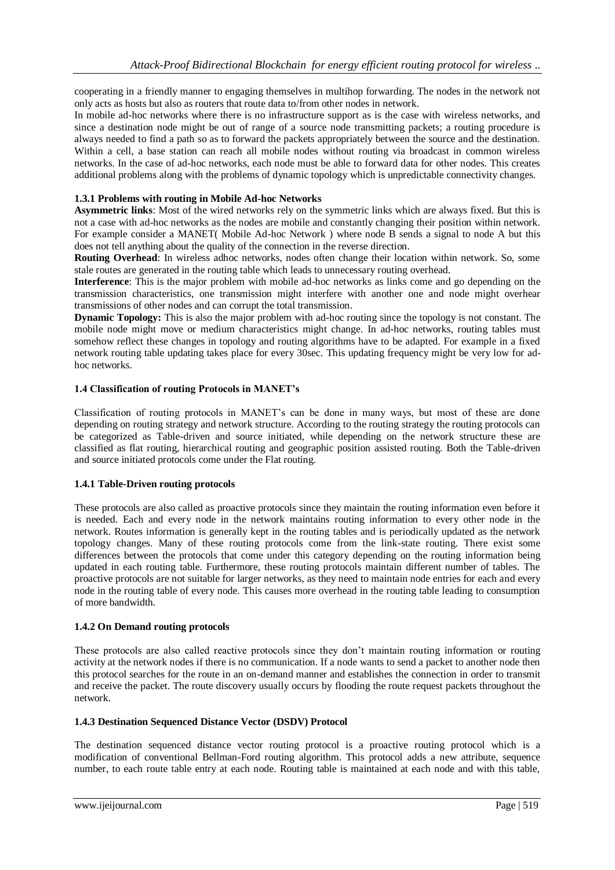cooperating in a friendly manner to engaging themselves in multihop forwarding. The nodes in the network not only acts as hosts but also as routers that route data to/from other nodes in network.

In mobile ad-hoc networks where there is no infrastructure support as is the case with wireless networks, and since a destination node might be out of range of a source node transmitting packets; a routing procedure is always needed to find a path so as to forward the packets appropriately between the source and the destination. Within a cell, a base station can reach all mobile nodes without routing via broadcast in common wireless networks. In the case of ad-hoc networks, each node must be able to forward data for other nodes. This creates additional problems along with the problems of dynamic topology which is unpredictable connectivity changes.

### **1.3.1 Problems with routing in Mobile Ad-hoc Networks**

**Asymmetric links**: Most of the wired networks rely on the symmetric links which are always fixed. But this is not a case with ad-hoc networks as the nodes are mobile and constantly changing their position within network. For example consider a MANET( Mobile Ad-hoc Network ) where node B sends a signal to node A but this does not tell anything about the quality of the connection in the reverse direction.

**Routing Overhead**: In wireless adhoc networks, nodes often change their location within network. So, some stale routes are generated in the routing table which leads to unnecessary routing overhead.

**Interference**: This is the major problem with mobile ad-hoc networks as links come and go depending on the transmission characteristics, one transmission might interfere with another one and node might overhear transmissions of other nodes and can corrupt the total transmission.

**Dynamic Topology:** This is also the major problem with ad-hoc routing since the topology is not constant. The mobile node might move or medium characteristics might change. In ad-hoc networks, routing tables must somehow reflect these changes in topology and routing algorithms have to be adapted. For example in a fixed network routing table updating takes place for every 30sec. This updating frequency might be very low for adhoc networks.

#### **1.4 Classification of routing Protocols in MANET's**

Classification of routing protocols in MANET's can be done in many ways, but most of these are done depending on routing strategy and network structure. According to the routing strategy the routing protocols can be categorized as Table-driven and source initiated, while depending on the network structure these are classified as flat routing, hierarchical routing and geographic position assisted routing. Both the Table-driven and source initiated protocols come under the Flat routing.

#### **1.4.1 Table-Driven routing protocols**

These protocols are also called as proactive protocols since they maintain the routing information even before it is needed. Each and every node in the network maintains routing information to every other node in the network. Routes information is generally kept in the routing tables and is periodically updated as the network topology changes. Many of these routing protocols come from the link-state routing. There exist some differences between the protocols that come under this category depending on the routing information being updated in each routing table. Furthermore, these routing protocols maintain different number of tables. The proactive protocols are not suitable for larger networks, as they need to maintain node entries for each and every node in the routing table of every node. This causes more overhead in the routing table leading to consumption of more bandwidth.

#### **1.4.2 On Demand routing protocols**

These protocols are also called reactive protocols since they don't maintain routing information or routing activity at the network nodes if there is no communication. If a node wants to send a packet to another node then this protocol searches for the route in an on-demand manner and establishes the connection in order to transmit and receive the packet. The route discovery usually occurs by flooding the route request packets throughout the network.

#### **1.4.3 Destination Sequenced Distance Vector (DSDV) Protocol**

The destination sequenced distance vector routing protocol is a proactive routing protocol which is a modification of conventional Bellman-Ford routing algorithm. This protocol adds a new attribute, sequence number, to each route table entry at each node. Routing table is maintained at each node and with this table,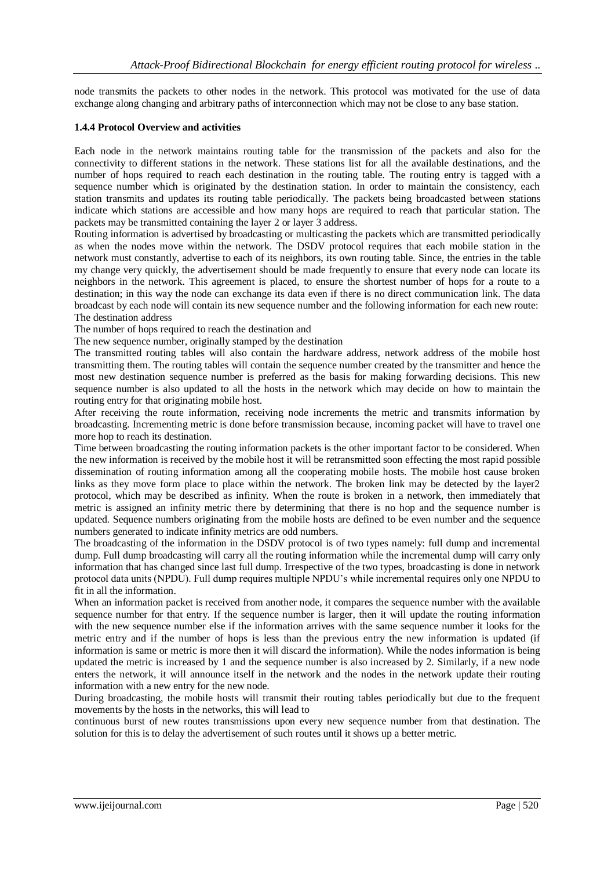node transmits the packets to other nodes in the network. This protocol was motivated for the use of data exchange along changing and arbitrary paths of interconnection which may not be close to any base station.

#### **1.4.4 Protocol Overview and activities**

Each node in the network maintains routing table for the transmission of the packets and also for the connectivity to different stations in the network. These stations list for all the available destinations, and the number of hops required to reach each destination in the routing table. The routing entry is tagged with a sequence number which is originated by the destination station. In order to maintain the consistency, each station transmits and updates its routing table periodically. The packets being broadcasted between stations indicate which stations are accessible and how many hops are required to reach that particular station. The packets may be transmitted containing the layer 2 or layer 3 address.

Routing information is advertised by broadcasting or multicasting the packets which are transmitted periodically as when the nodes move within the network. The DSDV protocol requires that each mobile station in the network must constantly, advertise to each of its neighbors, its own routing table. Since, the entries in the table my change very quickly, the advertisement should be made frequently to ensure that every node can locate its neighbors in the network. This agreement is placed, to ensure the shortest number of hops for a route to a destination; in this way the node can exchange its data even if there is no direct communication link. The data broadcast by each node will contain its new sequence number and the following information for each new route: The destination address

The number of hops required to reach the destination and

The new sequence number, originally stamped by the destination

The transmitted routing tables will also contain the hardware address, network address of the mobile host transmitting them. The routing tables will contain the sequence number created by the transmitter and hence the most new destination sequence number is preferred as the basis for making forwarding decisions. This new sequence number is also updated to all the hosts in the network which may decide on how to maintain the routing entry for that originating mobile host.

After receiving the route information, receiving node increments the metric and transmits information by broadcasting. Incrementing metric is done before transmission because, incoming packet will have to travel one more hop to reach its destination.

Time between broadcasting the routing information packets is the other important factor to be considered. When the new information is received by the mobile host it will be retransmitted soon effecting the most rapid possible dissemination of routing information among all the cooperating mobile hosts. The mobile host cause broken links as they move form place to place within the network. The broken link may be detected by the layer2 protocol, which may be described as infinity. When the route is broken in a network, then immediately that metric is assigned an infinity metric there by determining that there is no hop and the sequence number is updated. Sequence numbers originating from the mobile hosts are defined to be even number and the sequence numbers generated to indicate infinity metrics are odd numbers.

The broadcasting of the information in the DSDV protocol is of two types namely: full dump and incremental dump. Full dump broadcasting will carry all the routing information while the incremental dump will carry only information that has changed since last full dump. Irrespective of the two types, broadcasting is done in network protocol data units (NPDU). Full dump requires multiple NPDU's while incremental requires only one NPDU to fit in all the information.

When an information packet is received from another node, it compares the sequence number with the available sequence number for that entry. If the sequence number is larger, then it will update the routing information with the new sequence number else if the information arrives with the same sequence number it looks for the metric entry and if the number of hops is less than the previous entry the new information is updated (if information is same or metric is more then it will discard the information). While the nodes information is being updated the metric is increased by 1 and the sequence number is also increased by 2. Similarly, if a new node enters the network, it will announce itself in the network and the nodes in the network update their routing information with a new entry for the new node.

During broadcasting, the mobile hosts will transmit their routing tables periodically but due to the frequent movements by the hosts in the networks, this will lead to

continuous burst of new routes transmissions upon every new sequence number from that destination. The solution for this is to delay the advertisement of such routes until it shows up a better metric.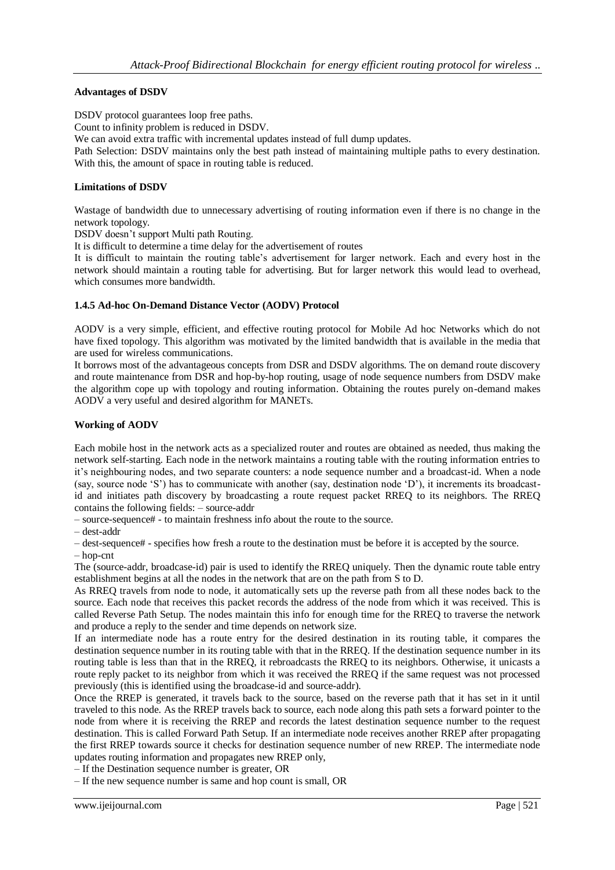#### **Advantages of DSDV**

DSDV protocol guarantees loop free paths.

Count to infinity problem is reduced in DSDV.

We can avoid extra traffic with incremental updates instead of full dump updates.

Path Selection: DSDV maintains only the best path instead of maintaining multiple paths to every destination. With this, the amount of space in routing table is reduced.

#### **Limitations of DSDV**

Wastage of bandwidth due to unnecessary advertising of routing information even if there is no change in the network topology.

DSDV doesn't support Multi path Routing.

It is difficult to determine a time delay for the advertisement of routes

It is difficult to maintain the routing table's advertisement for larger network. Each and every host in the network should maintain a routing table for advertising. But for larger network this would lead to overhead, which consumes more bandwidth.

# **1.4.5 Ad-hoc On-Demand Distance Vector (AODV) Protocol**

AODV is a very simple, efficient, and effective routing protocol for Mobile Ad hoc Networks which do not have fixed topology. This algorithm was motivated by the limited bandwidth that is available in the media that are used for wireless communications.

It borrows most of the advantageous concepts from DSR and DSDV algorithms. The on demand route discovery and route maintenance from DSR and hop-by-hop routing, usage of node sequence numbers from DSDV make the algorithm cope up with topology and routing information. Obtaining the routes purely on-demand makes AODV a very useful and desired algorithm for MANETs.

#### **Working of AODV**

Each mobile host in the network acts as a specialized router and routes are obtained as needed, thus making the network self-starting. Each node in the network maintains a routing table with the routing information entries to it's neighbouring nodes, and two separate counters: a node sequence number and a broadcast-id. When a node (say, source node 'S') has to communicate with another (say, destination node 'D'), it increments its broadcastid and initiates path discovery by broadcasting a route request packet RREQ to its neighbors. The RREQ contains the following fields: – source-addr

– source-sequence# - to maintain freshness info about the route to the source.

– dest-addr

– dest-sequence# - specifies how fresh a route to the destination must be before it is accepted by the source.

– hop-cnt

The (source-addr, broadcase-id) pair is used to identify the RREQ uniquely. Then the dynamic route table entry establishment begins at all the nodes in the network that are on the path from S to D.

As RREQ travels from node to node, it automatically sets up the reverse path from all these nodes back to the source. Each node that receives this packet records the address of the node from which it was received. This is called Reverse Path Setup. The nodes maintain this info for enough time for the RREQ to traverse the network and produce a reply to the sender and time depends on network size.

If an intermediate node has a route entry for the desired destination in its routing table, it compares the destination sequence number in its routing table with that in the RREQ. If the destination sequence number in its routing table is less than that in the RREQ, it rebroadcasts the RREQ to its neighbors. Otherwise, it unicasts a route reply packet to its neighbor from which it was received the RREQ if the same request was not processed previously (this is identified using the broadcase-id and source-addr).

Once the RREP is generated, it travels back to the source, based on the reverse path that it has set in it until traveled to this node. As the RREP travels back to source, each node along this path sets a forward pointer to the node from where it is receiving the RREP and records the latest destination sequence number to the request destination. This is called Forward Path Setup. If an intermediate node receives another RREP after propagating the first RREP towards source it checks for destination sequence number of new RREP. The intermediate node updates routing information and propagates new RREP only,

– If the Destination sequence number is greater, OR

– If the new sequence number is same and hop count is small, OR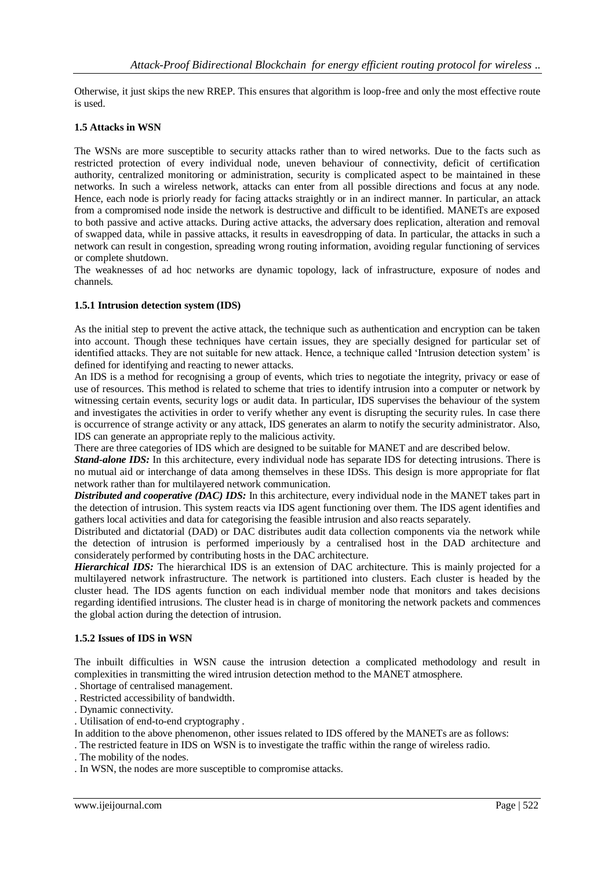Otherwise, it just skips the new RREP. This ensures that algorithm is loop-free and only the most effective route is used.

### **1.5 Attacks in WSN**

The WSNs are more susceptible to security attacks rather than to wired networks. Due to the facts such as restricted protection of every individual node, uneven behaviour of connectivity, deficit of certification authority, centralized monitoring or administration, security is complicated aspect to be maintained in these networks. In such a wireless network, attacks can enter from all possible directions and focus at any node. Hence, each node is priorly ready for facing attacks straightly or in an indirect manner. In particular, an attack from a compromised node inside the network is destructive and difficult to be identified. MANETs are exposed to both passive and active attacks. During active attacks, the adversary does replication, alteration and removal of swapped data, while in passive attacks, it results in eavesdropping of data. In particular, the attacks in such a network can result in congestion, spreading wrong routing information, avoiding regular functioning of services or complete shutdown.

The weaknesses of ad hoc networks are dynamic topology, lack of infrastructure, exposure of nodes and channels.

#### **1.5.1 Intrusion detection system (IDS)**

As the initial step to prevent the active attack, the technique such as authentication and encryption can be taken into account. Though these techniques have certain issues, they are specially designed for particular set of identified attacks. They are not suitable for new attack. Hence, a technique called 'Intrusion detection system' is defined for identifying and reacting to newer attacks.

An IDS is a method for recognising a group of events, which tries to negotiate the integrity, privacy or ease of use of resources. This method is related to scheme that tries to identify intrusion into a computer or network by witnessing certain events, security logs or audit data. In particular, IDS supervises the behaviour of the system and investigates the activities in order to verify whether any event is disrupting the security rules. In case there is occurrence of strange activity or any attack, IDS generates an alarm to notify the security administrator. Also, IDS can generate an appropriate reply to the malicious activity.

There are three categories of IDS which are designed to be suitable for MANET and are described below.

*Stand-alone IDS:* In this architecture, every individual node has separate IDS for detecting intrusions. There is no mutual aid or interchange of data among themselves in these IDSs. This design is more appropriate for flat network rather than for multilayered network communication.

*Distributed and cooperative (DAC) IDS:* In this architecture, every individual node in the MANET takes part in the detection of intrusion. This system reacts via IDS agent functioning over them. The IDS agent identifies and gathers local activities and data for categorising the feasible intrusion and also reacts separately.

Distributed and dictatorial (DAD) or DAC distributes audit data collection components via the network while the detection of intrusion is performed imperiously by a centralised host in the DAD architecture and considerately performed by contributing hosts in the DAC architecture.

*Hierarchical IDS:* The hierarchical IDS is an extension of DAC architecture. This is mainly projected for a multilayered network infrastructure. The network is partitioned into clusters. Each cluster is headed by the cluster head. The IDS agents function on each individual member node that monitors and takes decisions regarding identified intrusions. The cluster head is in charge of monitoring the network packets and commences the global action during the detection of intrusion.

#### **1.5.2 Issues of IDS in WSN**

The inbuilt difficulties in WSN cause the intrusion detection a complicated methodology and result in complexities in transmitting the wired intrusion detection method to the MANET atmosphere.

- . Shortage of centralised management.
- . Restricted accessibility of bandwidth.
- . Dynamic connectivity.
- . Utilisation of end-to-end cryptography .

In addition to the above phenomenon, other issues related to IDS offered by the MANETs are as follows:

. The restricted feature in IDS on WSN is to investigate the traffic within the range of wireless radio.

. The mobility of the nodes.

. In WSN, the nodes are more susceptible to compromise attacks.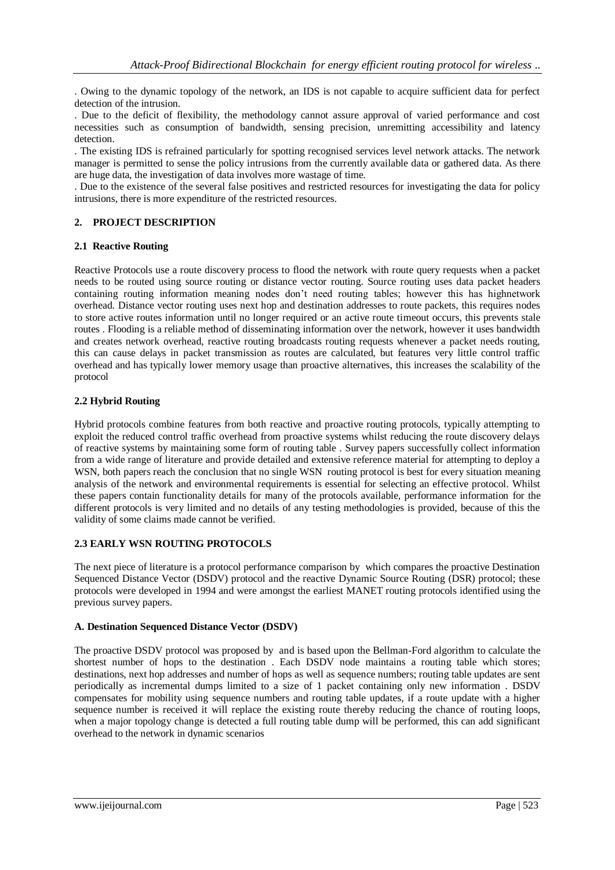. Owing to the dynamic topology of the network, an IDS is not capable to acquire sufficient data for perfect detection of the intrusion.

. Due to the deficit of flexibility, the methodology cannot assure approval of varied performance and cost necessities such as consumption of bandwidth, sensing precision, unremitting accessibility and latency detection.

. The existing IDS is refrained particularly for spotting recognised services level network attacks. The network manager is permitted to sense the policy intrusions from the currently available data or gathered data. As there are huge data, the investigation of data involves more wastage of time.

. Due to the existence of the several false positives and restricted resources for investigating the data for policy intrusions, there is more expenditure of the restricted resources.

# **2. PROJECT DESCRIPTION**

#### **2.1 Reactive Routing**

Reactive Protocols use a route discovery process to flood the network with route query requests when a packet needs to be routed using source routing or distance vector routing. Source routing uses data packet headers containing routing information meaning nodes don't need routing tables; however this has highnetwork overhead. Distance vector routing uses next hop and destination addresses to route packets, this requires nodes to store active routes information until no longer required or an active route timeout occurs, this prevents stale routes . Flooding is a reliable method of disseminating information over the network, however it uses bandwidth and creates network overhead, reactive routing broadcasts routing requests whenever a packet needs routing, this can cause delays in packet transmission as routes are calculated, but features very little control traffic overhead and has typically lower memory usage than proactive alternatives, this increases the scalability of the protocol

# **2.2 Hybrid Routing**

Hybrid protocols combine features from both reactive and proactive routing protocols, typically attempting to exploit the reduced control traffic overhead from proactive systems whilst reducing the route discovery delays of reactive systems by maintaining some form of routing table . Survey papers successfully collect information from a wide range of literature and provide detailed and extensive reference material for attempting to deploy a WSN, both papers reach the conclusion that no single WSN routing protocol is best for every situation meaning analysis of the network and environmental requirements is essential for selecting an effective protocol. Whilst these papers contain functionality details for many of the protocols available, performance information for the different protocols is very limited and no details of any testing methodologies is provided, because of this the validity of some claims made cannot be verified.

# **2.3 EARLY WSN ROUTING PROTOCOLS**

The next piece of literature is a protocol performance comparison by which compares the proactive Destination Sequenced Distance Vector (DSDV) protocol and the reactive Dynamic Source Routing (DSR) protocol; these protocols were developed in 1994 and were amongst the earliest MANET routing protocols identified using the previous survey papers.

#### **A. Destination Sequenced Distance Vector (DSDV)**

The proactive DSDV protocol was proposed by and is based upon the Bellman-Ford algorithm to calculate the shortest number of hops to the destination . Each DSDV node maintains a routing table which stores; destinations, next hop addresses and number of hops as well as sequence numbers; routing table updates are sent periodically as incremental dumps limited to a size of 1 packet containing only new information . DSDV compensates for mobility using sequence numbers and routing table updates, if a route update with a higher sequence number is received it will replace the existing route thereby reducing the chance of routing loops, when a major topology change is detected a full routing table dump will be performed, this can add significant overhead to the network in dynamic scenarios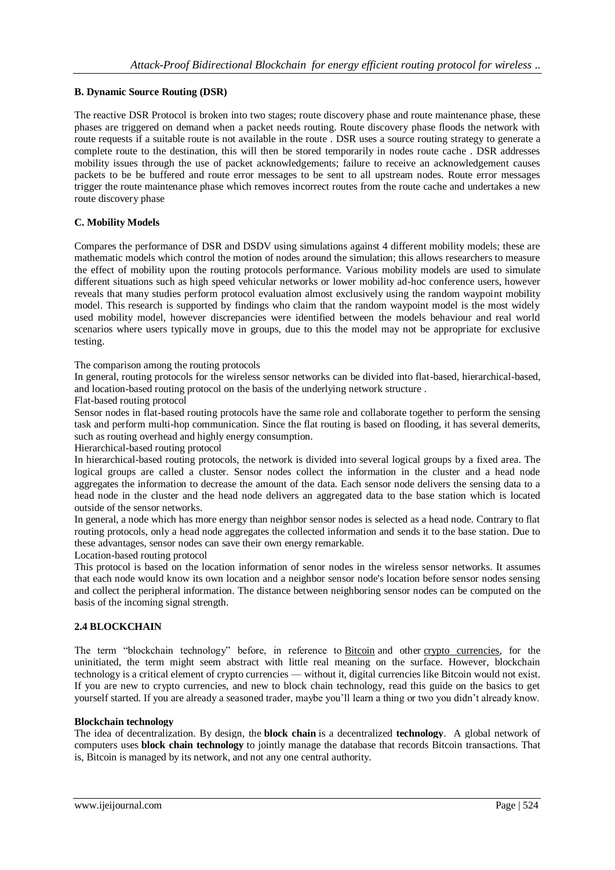### **B. Dynamic Source Routing (DSR)**

The reactive DSR Protocol is broken into two stages; route discovery phase and route maintenance phase, these phases are triggered on demand when a packet needs routing. Route discovery phase floods the network with route requests if a suitable route is not available in the route . DSR uses a source routing strategy to generate a complete route to the destination, this will then be stored temporarily in nodes route cache . DSR addresses mobility issues through the use of packet acknowledgements; failure to receive an acknowledgement causes packets to be be buffered and route error messages to be sent to all upstream nodes. Route error messages trigger the route maintenance phase which removes incorrect routes from the route cache and undertakes a new route discovery phase

### **C. Mobility Models**

Compares the performance of DSR and DSDV using simulations against 4 different mobility models; these are mathematic models which control the motion of nodes around the simulation; this allows researchers to measure the effect of mobility upon the routing protocols performance. Various mobility models are used to simulate different situations such as high speed vehicular networks or lower mobility ad-hoc conference users, however reveals that many studies perform protocol evaluation almost exclusively using the random waypoint mobility model. This research is supported by findings who claim that the random waypoint model is the most widely used mobility model, however discrepancies were identified between the models behaviour and real world scenarios where users typically move in groups, due to this the model may not be appropriate for exclusive testing.

The comparison among the routing protocols

In general, routing protocols for the wireless sensor networks can be divided into flat-based, hierarchical-based, and location-based routing protocol on the basis of the underlying network structure .

Flat-based routing protocol

Sensor nodes in flat-based routing protocols have the same role and collaborate together to perform the sensing task and perform multi-hop communication. Since the flat routing is based on flooding, it has several demerits, such as routing overhead and highly energy consumption.

Hierarchical-based routing protocol

In hierarchical-based routing protocols, the network is divided into several logical groups by a fixed area. The logical groups are called a cluster. Sensor nodes collect the information in the cluster and a head node aggregates the information to decrease the amount of the data. Each sensor node delivers the sensing data to a head node in the cluster and the head node delivers an aggregated data to the base station which is located outside of the sensor networks.

In general, a node which has more energy than neighbor sensor nodes is selected as a head node. Contrary to flat routing protocols, only a head node aggregates the collected information and sends it to the base station. Due to these advantages, sensor nodes can save their own energy remarkable.

Location-based routing protocol

This protocol is based on the location information of senor nodes in the wireless sensor networks. It assumes that each node would know its own location and a neighbor sensor node's location before sensor nodes sensing and collect the peripheral information. The distance between neighboring sensor nodes can be computed on the basis of the incoming signal strength.

# **2.4 BLOCKCHAIN**

The term "blockchain technology" before, in reference to [Bitcoin](https://www.investinblockchain.com/what-is-bitcoin/) and other [crypto currencies,](https://www.investinblockchain.com/top-cryptocurrencies/) for the uninitiated, the term might seem abstract with little real meaning on the surface. However, blockchain technology is a critical element of crypto currencies — without it, digital currencies like Bitcoin would not exist. If you are new to crypto currencies, and new to block chain technology, read this guide on the basics to get yourself started. If you are already a seasoned trader, maybe you'll learn a thing or two you didn't already know.

#### **Blockchain technology**

The idea of decentralization. By design, the **block chain** is a decentralized **technology**. A global network of computers uses **block chain technology** to jointly manage the database that records Bitcoin transactions. That is, Bitcoin is managed by its network, and not any one central authority.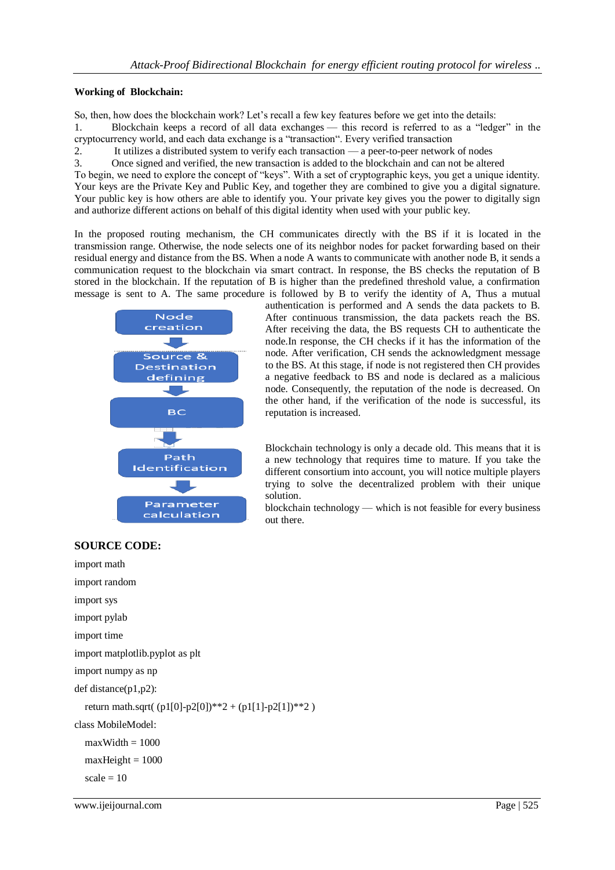#### **Working of Blockchain:**

So, then, how does the blockchain work? Let's recall a few key features before we get into the details:

1. Blockchain keeps a record of all data exchanges — this record is referred to as a "ledger" in the cryptocurrency world, and each data exchange is a "transaction". Every verified transaction

2. It utilizes a distributed system to verify each transaction — a peer-to-peer network of nodes

3. Once signed and verified, the new transaction is added to the blockchain and can not be altered

To begin, we need to explore the concept of "keys". With a set of cryptographic keys, you get a unique identity. Your keys are the Private Key and Public Key, and together they are combined to give you a digital signature. Your public key is how others are able to identify you. Your private key gives you the power to digitally sign and authorize different actions on behalf of this digital identity when used with your public key.

In the proposed routing mechanism, the CH communicates directly with the BS if it is located in the transmission range. Otherwise, the node selects one of its neighbor nodes for packet forwarding based on their residual energy and distance from the BS. When a node A wants to communicate with another node B, it sends a communication request to the blockchain via smart contract. In response, the BS checks the reputation of B stored in the blockchain. If the reputation of B is higher than the predefined threshold value, a confirmation message is sent to A. The same procedure is followed by B to verify the identity of A, Thus a mutual



authentication is performed and A sends the data packets to B. After continuous transmission, the data packets reach the BS. After receiving the data, the BS requests CH to authenticate the node.In response, the CH checks if it has the information of the node. After verification, CH sends the acknowledgment message to the BS. At this stage, if node is not registered then CH provides a negative feedback to BS and node is declared as a malicious node. Consequently, the reputation of the node is decreased. On the other hand, if the verification of the node is successful, its reputation is increased.

[Blockchain](https://101blockchains.com/blockchain-technology-explained/) technology is only a decade old. This means that it is a new technology that requires time to mature. If you take the different [consortium](https://101blockchains.com/blockchain-consortium/) into account, you will notice multiple players trying to solve the decentralized problem with their unique solution.

blockchain technology — which is not feasible for every business out there.

#### **SOURCE CODE:**

import math import random import sys import pylab import time import matplotlib.pyplot as plt import numpy as np def distance(p1,p2): return math.sqrt( $(p1[0]-p2[0])^{**}2 + (p1[1]-p2[1])^{**}2)$ class MobileModel:  $maxWidth = 1000$  $maxHeight = 1000$  $scale = 10$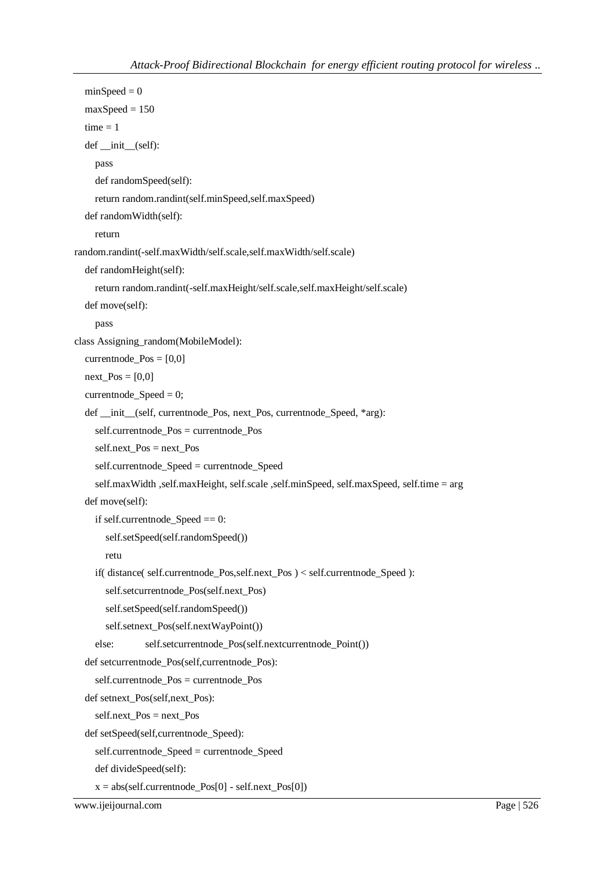```
minSpeed = 0maxSpeed = 150time = 1 def __init__(self):
      pass
      def randomSpeed(self):
      return random.randint(self.minSpeed,self.maxSpeed)
   def randomWidth(self):
      return 
random.randint(-self.maxWidth/self.scale,self.maxWidth/self.scale)
   def randomHeight(self):
      return random.randint(-self.maxHeight/self.scale,self.maxHeight/self.scale)
   def move(self):
      pass
class Assigning_random(MobileModel):
  currentnode Pos = [0,0]next\_Pos = [0,0]current node_Speed = 0;
   def __init__(self, currentnode_Pos, next_Pos, currentnode_Speed, *arg):
      self.currentnode_Pos = currentnode_Pos
      self.next_Pos = next_Pos
      self.currentnode_Speed = currentnode_Speed
     self.maxWidth, self.maxHeight, self.scale, self.minSpeed, self.maxSpeed, self.time = arg
   def move(self): 
      if self.currentnode_Speed == 0:
        self.setSpeed(self.randomSpeed())
        retu 
      if( distance( self.currentnode_Pos,self.next_Pos ) < self.currentnode_Speed ):
        self.setcurrentnode_Pos(self.next_Pos)
        self.setSpeed(self.randomSpeed())
        self.setnext_Pos(self.nextWayPoint())
      else: self.setcurrentnode_Pos(self.nextcurrentnode_Point())
   def setcurrentnode_Pos(self,currentnode_Pos):
      self.currentnode_Pos = currentnode_Pos
   def setnext_Pos(self,next_Pos):
      self.next_Pos = next_Pos
   def setSpeed(self,currentnode_Speed):
      self.currentnode_Speed = currentnode_Speed 
      def divideSpeed(self):
     x = abs(self.current node_Pos[0] - self.next_Pos[0])
```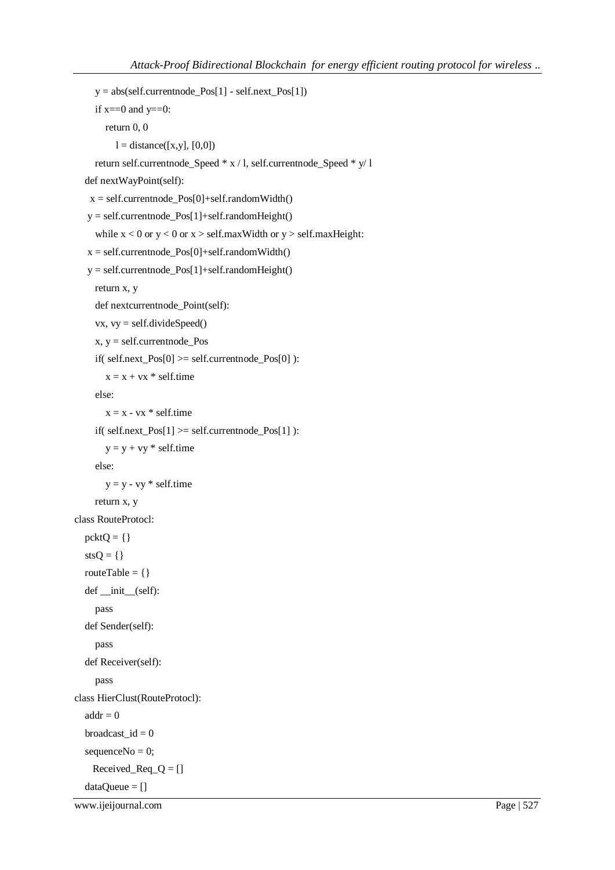```
y = abs(self.current node_Pos[1] - self.next_Pos[1])if x == 0 and y == 0:
        return 0, 0
          l = distance([x,y], [0,0]) return self.currentnode_Speed * x / l, self.currentnode_Speed * y/ l
   def nextWayPoint(self):
   x = self.current node_Pos[0] + self.randomWidth() y = self.currentnode_Pos[1]+self.randomHeight()
     while x < 0 or y < 0 or x > self.maxWidth or y > self.maxHeight:
   x = self.current node_Pos[0]+self.randomWidth()y = self.current node_Pos[1]+self.randomHeight() return x, y
     def nextcurrentnode_Point(self):
     vx, vy = self.divideSpeed()x, y = self.current node_Pos
     if( self.next_Pos[0] >= self.currentnode_Pos[0] ):x = x + vx * self.time else:
       x = x - vx * self.timeif( self.next_Pos[1] >= self.currentnode_Pos[1] ):y = y + vy * self.time else:
       y = y - vy * self.time return x, y
class RouteProtocl:
  pcktQ = \{\}stsQ = \{\}routeTable = \{\} def __init__(self):
      pass
   def Sender(self):
      pass
   def Receiver(self):
      pass
class HierClust(RouteProtocl):
  addr = 0broadcast id = 0sequenceNo = 0;Received\_Req_Q = []dataQueue = []
```
www.ijeijournal.com Page | 527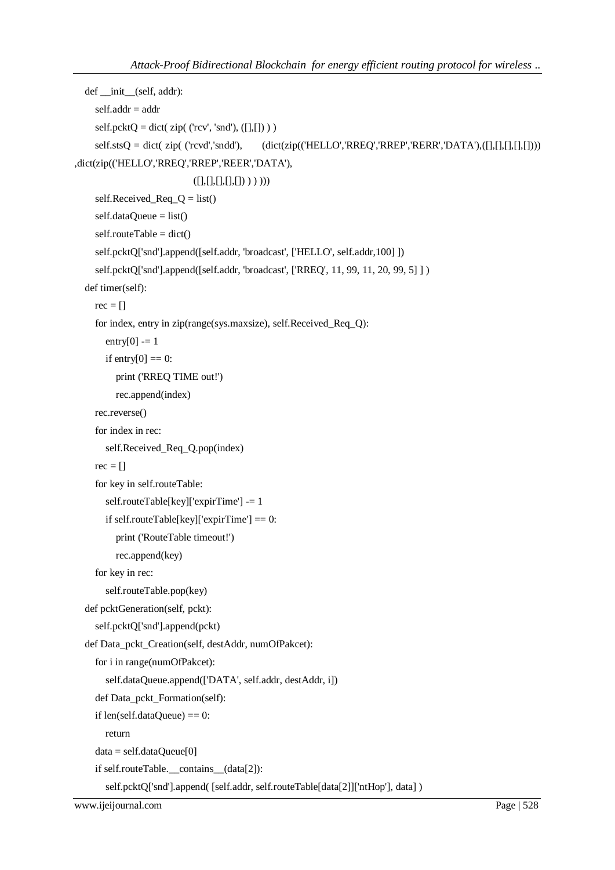```
 def __init__(self, addr):
      self.addr = addr
     self. pcktQ = dict(zip((rcv', 'snd'), ([], [])) )self.stsQ = dict( zip( ('rcvd','sndd'), (dict(zip(('HELLO','RREQ','RREP','RERR','DATA'),([],[],[],[],[])))
,dict(zip(('HELLO','RREQ','RREP','REER','DATA'), 
                             ([], [], [], [], []) )) self.Received_Req_Q = list()
      self.dataQueue = list()
     selfrouteTable = dict() self.pcktQ['snd'].append([self.addr, 'broadcast', ['HELLO', self.addr,100] ])
      self.pcktQ['snd'].append([self.addr, 'broadcast', ['RREQ', 11, 99, 11, 20, 99, 5] ] )
   def timer(self):
     rec = [] for index, entry in zip(range(sys.maxsize), self.Received_Req_Q):
       entry[0] -= 1
       if entry[0] = 0:
           print ('RREQ TIME out!')
           rec.append(index)
      rec.reverse()
      for index in rec:
        self.Received_Req_Q.pop(index)
     rec = [] for key in self.routeTable:
        self.routeTable[key]['expirTime'] -= 1
       if self.routeTable[key]['expirTime'] = 0:
           print ('RouteTable timeout!')
           rec.append(key)
      for key in rec:
        self.routeTable.pop(key) 
   def pcktGeneration(self, pckt):
      self.pcktQ['snd'].append(pckt)
   def Data_pckt_Creation(self, destAddr, numOfPakcet):
      for i in range(numOfPakcet):
        self.dataQueue.append(['DATA', self.addr, destAddr, i])
      def Data_pckt_Formation(self):
      if len(self.dataQueue) == 0:
        return
     data = self.dataQueue[0] if self.routeTable.__contains__(data[2]):
        self.pcktQ['snd'].append( [self.addr, self.routeTable[data[2]]['ntHop'], data] )
```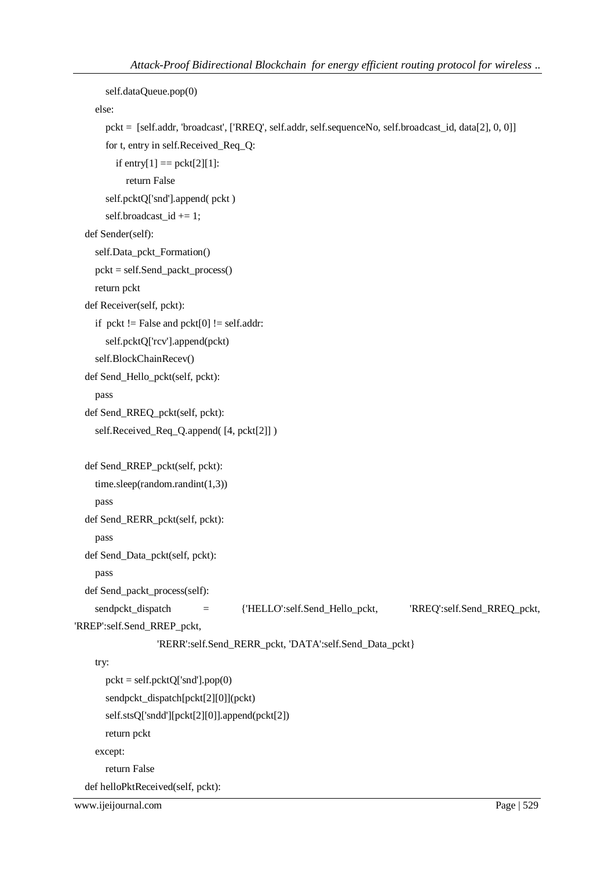```
 self.dataQueue.pop(0)
      else:
        pckt = [self.addr, 'broadcast', ['RREQ', self.addr, self.sequenceNo, self.broadcast_id, data[2], 0, 0]]
        for t, entry in self.Received_Req_Q:
         if entry[1] == pckt[2][1]:
             return False
        self.pcktQ['snd'].append( pckt )
        self.broadcast_id += 1;
   def Sender(self):
      self.Data_pckt_Formation()
      pckt = self.Send_packt_process()
     return pckt
   def Receiver(self, pckt):
     if pckt != False and pckt[0] != self.addr:
        self.pcktQ['rcv'].append(pckt)
      self.BlockChainRecev() 
   def Send_Hello_pckt(self, pckt):
      pass
   def Send_RREQ_pckt(self, pckt):
      self.Received_Req_Q.append( [4, pckt[2]] )
   def Send_RREP_pckt(self, pckt):
      time.sleep(random.randint(1,3))
      pass
   def Send_RERR_pckt(self, pckt):
      pass
   def Send_Data_pckt(self, pckt):
      pass 
   def Send_packt_process(self):
      sendpckt_dispatch = {'HELLO':self.Send_Hello_pckt, 'RREQ':self.Send_RREQ_pckt, 
'RREP':self.Send_RREP_pckt,
                    'RERR':self.Send_RERR_pckt, 'DATA':self.Send_Data_pckt}
     try:
       pckt = self.pcktQ['snd'].pop(0) sendpckt_dispatch[pckt[2][0]](pckt)
        self.stsQ['sndd'][pckt[2][0]].append(pckt[2])
        return pckt
      except:
        return False
   def helloPktReceived(self, pckt):
```

```
www.ijeijournal.com Page | 529
```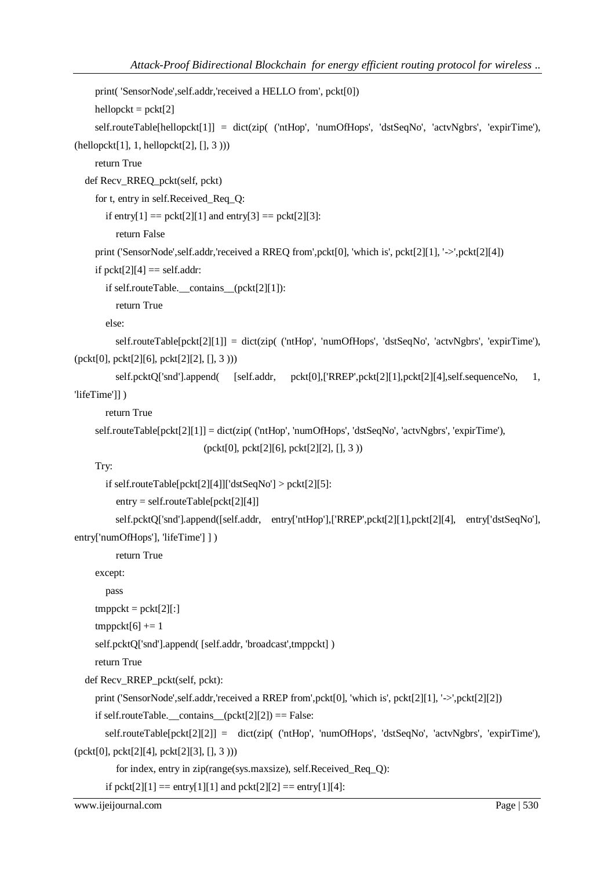```
 print( 'SensorNode',self.addr,'received a HELLO from', pckt[0])
     hellopckt = pckt[2]
      self.routeTable[hellopckt[1]] = dict(zip( ('ntHop', 'numOfHops', 'dstSeqNo', 'actvNgbrs', 'expirTime'), 
(hellopckt[1], 1, hellopckt[2], [], 3 )))
      return True
   def Recv_RREQ_pckt(self, pckt) 
      for t, entry in self.Received_Req_Q:
       if entry[1] = pckt[2][1] and entry[3] = pckt[2][3]:
           return False
      print ('SensorNode',self.addr,'received a RREQ from',pckt[0], 'which is', pckt[2][1], '->',pckt[2][4]) 
     if pckt[2][4] == self.addr:
        if self.routeTable.__contains__(pckt[2][1]):
           return True
        else:
           self.routeTable[pckt[2][1]] = dict(zip( ('ntHop', 'numOfHops', 'dstSeqNo', 'actvNgbrs', 'expirTime'),
(pckt[0], pckt[2][6], pckt[2][2], [], 3 )))
           self.pcktQ['snd'].append( [self.addr, pckt[0],['RREP',pckt[2][1],pckt[2][4],self.sequenceNo, 1, 
'lifeTime']] )
        return True
      self.routeTable[pckt[2][1]] = dict(zip( ('ntHop', 'numOfHops', 'dstSeqNo', 'actvNgbrs', 'expirTime'),
                                (pckt[0], pckt[2][6], pckt[2][2], [], 3 ))
      Try:
        if self.routeTable[pckt[2][4]]['dstSeqNo'] > pckt[2][5]:
          entry = selfrouteTable[pckt[2][4]] self.pcktQ['snd'].append([self.addr, entry['ntHop'],['RREP',pckt[2][1],pckt[2][4], entry['dstSeqNo'], 
entry['numOfHops'], 'lifeTime'] ] )
           return True
      except:
        pass
     tmppckt = pckt[2][:]tmppckt[6] += 1
      self.pcktQ['snd'].append( [self.addr, 'broadcast',tmppckt] )
     return True
   def Recv_RREP_pckt(self, pckt):
      print ('SensorNode',self.addr,'received a RREP from',pckt[0], 'which is', pckt[2][1], '->',pckt[2][2])
     if self.routeTable.__contains_(pckt[2][2]) == False:
        self.routeTable[pckt[2][2]] = dict(zip( ('ntHop', 'numOfHops', 'dstSeqNo', 'actvNgbrs', 'expirTime'), 
(pckt[0], pckt[2][4], pckt[2][3], [], 3 )))
           for index, entry in zip(range(sys.maxsize), self.Received_Req_Q):
```

```
if pckt[2][1] == entry[1][1] and pckt[2][2] == entry[1][4]:
```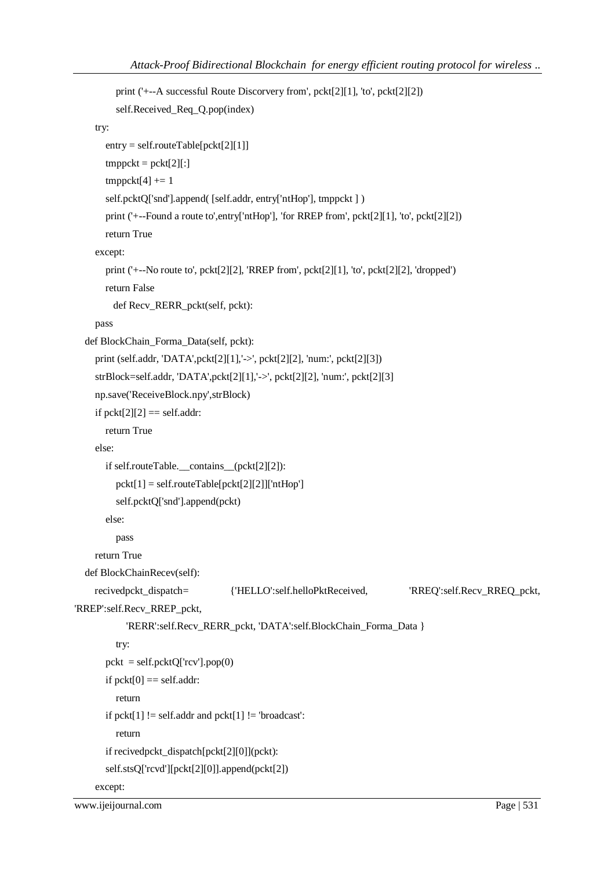```
 print ('+--A successful Route Discorvery from', pckt[2][1], 'to', pckt[2][2])
           self.Received_Req_Q.pop(index)
      try:
        entry = self.routeTable[pckt[2][1]]
       tmppckt = pckt[2][:]tmppckt[4] += 1 self.pcktQ['snd'].append( [self.addr, entry['ntHop'], tmppckt ] )
        print ('+--Found a route to',entry['ntHop'], 'for RREP from', pckt[2][1], 'to', pckt[2][2])
        return True
      except:
        print ('+--No route to', pckt[2][2], 'RREP from', pckt[2][1], 'to', pckt[2][2], 'dropped')
        return False
          def Recv_RERR_pckt(self, pckt):
      pass
   def BlockChain_Forma_Data(self, pckt):
      print (self.addr, 'DATA',pckt[2][1],'->', pckt[2][2], 'num:', pckt[2][3])
      strBlock=self.addr, 'DATA',pckt[2][1],'->', pckt[2][2], 'num:', pckt[2][3]
     np.save('ReceiveBlock.npy',strBlock)
    if pckt[2][2] == self.addr:
        return True
      else:
        if self.routeTable.__contains__(pckt[2][2]):
          pckt[1] = selfrouteTable[pckt[2][2]]['ntHop'] self.pcktQ['snd'].append(pckt)
        else:
           pass
      return True
   def BlockChainRecev(self):
      recivedpckt_dispatch= {'HELLO':self.helloPktReceived, 'RREQ':self.Recv_RREQ_pckt, 
'RREP':self.Recv_RREP_pckt,
             'RERR':self.Recv_RERR_pckt, 'DATA':self.BlockChain_Forma_Data }
           try:
       pckt = self.pcktQ['rcv'].pop(0)if pckt[0] == self.addr:
           return
       if pckt[1] != self.addr and pckt[1] != 'broadcast':
           return
        if recivedpckt_dispatch[pckt[2][0]](pckt):
        self.stsQ['rcvd'][pckt[2][0]].append(pckt[2])
      except:
```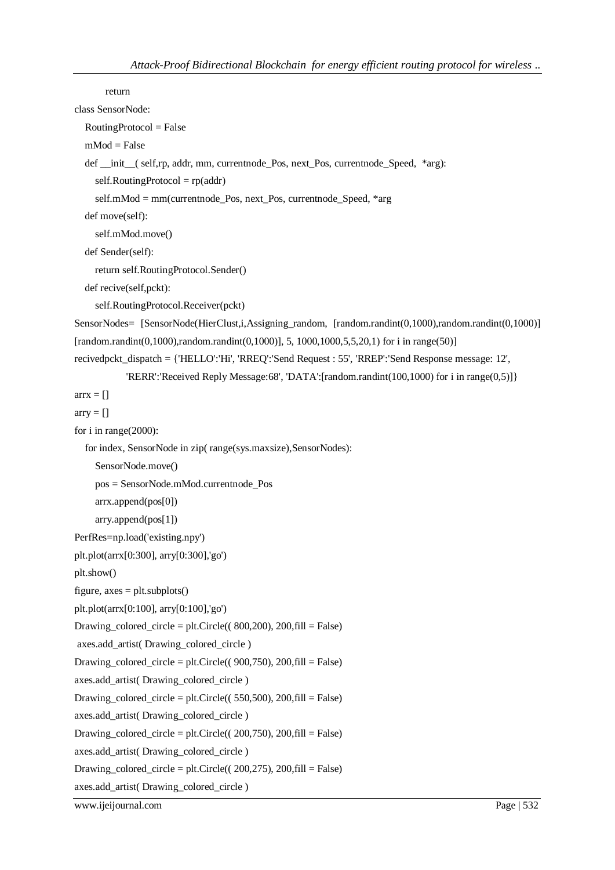```
 return
class SensorNode:
  RoutingProtocol = FalsemMod = False def __init__( self,rp, addr, mm, currentnode_Pos, next_Pos, currentnode_Speed, *arg):
     self.RoutingProtocol = rp(addr) self.mMod = mm(currentnode_Pos, next_Pos, currentnode_Speed, *arg 
   def move(self):
      self.mMod.move()
   def Sender(self):
      return self.RoutingProtocol.Sender()
   def recive(self,pckt):
      self.RoutingProtocol.Receiver(pckt)
SensorNodes= [SensorNode(HierClust,i,Assigning_random, [random.randint(0,1000),random.randint(0,1000)]
[random.random(0,1000), random.random(0,1000)], 5, 1000, 1000, 5, 5, 20, 1) for i in range(50)]
recivedpckt_dispatch = {'HELLO':'Hi', 'RREQ':'Send Request : 55', 'RREP':'Send Response message: 12',
             'RERR':'Received Reply Message:68', 'DATA':[random.randint(100,1000) for i in range(0,5)]} 
arrx = 1\text{array} = []for i in range(2000):
   for index, SensorNode in zip( range(sys.maxsize),SensorNodes):
      SensorNode.move()
      pos = SensorNode.mMod.currentnode_Pos
      arrx.append(pos[0])
      arry.append(pos[1])
PerfRes=np.load('existing.npy')
plt.plot(arrx[0:300], arry[0:300],'go')
plt.show()
figure, axes = plt.subplots()plt.plot(arrx[0:100], arry[0:100],'go')
Drawing_colored_circle = plt.Circle((800,200), 200, fill = False)
axes.add_artist( Drawing_colored_circle )
Drawing_colored_circle = plt.Circle((900,750), 200,fill = False)
axes.add_artist( Drawing_colored_circle )
Drawing_colored_circle = plt.Circle((550,500), 200,fill = False)
axes.add_artist( Drawing_colored_circle )
Drawing_colored_circle = plt.Circle((200,750), 200,fill = False)
axes.add_artist( Drawing_colored_circle )
Drawing_colored_circle = plt.Circle((200,275), 200, fill = False)
axes.add_artist( Drawing_colored_circle )
```
www.ijeijournal.com Page | 532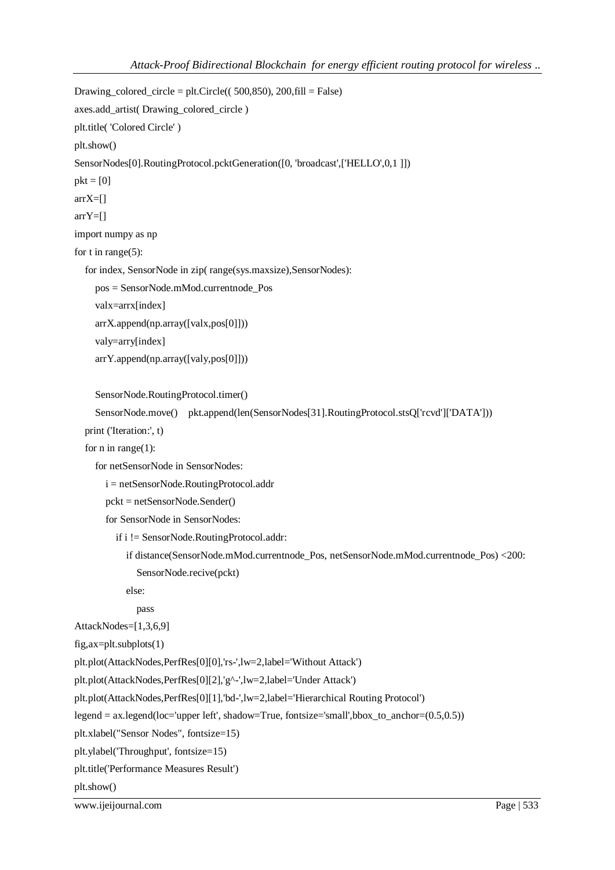```
Drawing_colored_circle = plt.Circle((500,850), 200,fill = False)
axes.add_artist( Drawing_colored_circle )
plt.title( 'Colored Circle' )
plt.show()
SensorNodes[0].RoutingProtocol.pcktGeneration([0, 'broadcast',['HELLO',0,1 ]])
pkt = [0]arrx = []arrY = []import numpy as np 
for t in range(5):
   for index, SensorNode in zip( range(sys.maxsize),SensorNodes):
     pos = SensorNode.mMod.currentnode_Pos
     valx=arrx[index]
     arrX.append(np.array([valx,pos[0]]))
     valy=arry[index]
     arrY.append(np.array([valy,pos[0]]))
     SensorNode.RoutingProtocol.timer()
     SensorNode.move() pkt.append(len(SensorNodes[31].RoutingProtocol.stsQ['rcvd']['DATA']))
   print ('Iteration:', t)
  for n in range(1):
     for netSensorNode in SensorNodes:
        i = netSensorNode.RoutingProtocol.addr
        pckt = netSensorNode.Sender()
        for SensorNode in SensorNodes:
          if i != SensorNode.RoutingProtocol.addr:
             if distance(SensorNode.mMod.currentnode_Pos, netSensorNode.mMod.currentnode_Pos) <200:
               SensorNode.recive(pckt)
             else:
               pass
AttackNodes=[1,3,6,9]
fig,ax=plt.subplots(1)
plt.plot(AttackNodes,PerfRes[0][0],'rs-',lw=2,label='Without Attack')
plt.plot(AttackNodes,PerfRes[0][2],'g^-',lw=2,label='Under Attack')
plt.plot(AttackNodes,PerfRes[0][1],'bd-',lw=2,label='Hierarchical Routing Protocol')
legend = ax.legend(loc='upper left', shadow=True, fontsize='small',bbox_to_anchor=(0.5,0.5))
plt.xlabel("Sensor Nodes", fontsize=15)
plt.ylabel('Throughput', fontsize=15)
```
plt.title('Performance Measures Result')

plt.show()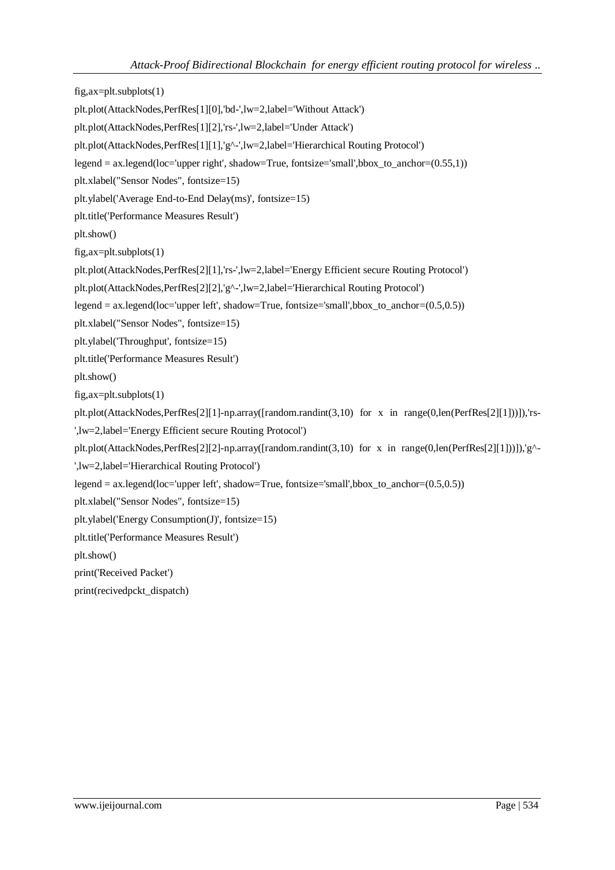| $fig,ax=plt.subplots(1)$                                                                                      |
|---------------------------------------------------------------------------------------------------------------|
| plt.plot(AttackNodes,PerfRes[1][0],'bd-',lw=2,label='Without Attack')                                         |
| plt.plot(AttackNodes,PerfRes[1][2],'rs-',lw=2,label='Under Attack')                                           |
| plt.plot(AttackNodes,PerfRes[1][1],'g^-',lw=2,label='Hierarchical Routing Protocol')                          |
| $legend = ax.length(loc='upper right, shadow=True, fontsize='small', bbox_to_anchor=(0.55,1))$                |
| plt.xlabel("Sensor Nodes", fontsize=15)                                                                       |
| plt.ylabel('Average End-to-End Delay(ms)', fontsize=15)                                                       |
| plt.title('Performance Measures Result')                                                                      |
| plt.show()                                                                                                    |
| $fig,ax=plt.subplots(1)$                                                                                      |
| plt.plot(AttackNodes,PerfRes[2][1],'rs-',lw=2,label='Energy Efficient secure Routing Protocol')               |
| plt.plot(AttackNodes,PerfRes[2][2],'g^-',lw=2,label='Hierarchical Routing Protocol')                          |
| $legend = ax.length(loc='upper left, shadow=True, fontsize='small', box_to_anchor = (0.5, 0.5))$              |
| plt.xlabel("Sensor Nodes", fontsize=15)                                                                       |
| plt.ylabel('Throughput', fontsize=15)                                                                         |
| plt.title('Performance Measures Result')                                                                      |
| plt.show()                                                                                                    |
| $fig,ax=plt.subplots(1)$                                                                                      |
| plt.plot(AttackNodes,PerfRes[2][1]-np.array([random.randint(3,10) for x in range(0,len(PerfRes[2][1]))]),'rs- |
| ',lw=2,label='Energy Efficient secure Routing Protocol')                                                      |
| plt.plot(AttackNodes,PerfRes[2][2]-np.array([random.randint(3,10) for x in range(0,len(PerfRes[2][1]))]),'g^- |
| ',lw=2,label='Hierarchical Routing Protocol')                                                                 |
| $legend = ax.length(loc='upper left, shadow=True, fontsize='small', box_to_anchor=(0.5,0.5))$                 |
| plt.xlabel("Sensor Nodes", fontsize=15)                                                                       |
| plt.ylabel('Energy Consumption(J)', fontsize=15)                                                              |
| plt.title('Performance Measures Result')                                                                      |
| plt.show()                                                                                                    |
| print('Received Packet')                                                                                      |
| print(recivedpckt_dispatch)                                                                                   |
|                                                                                                               |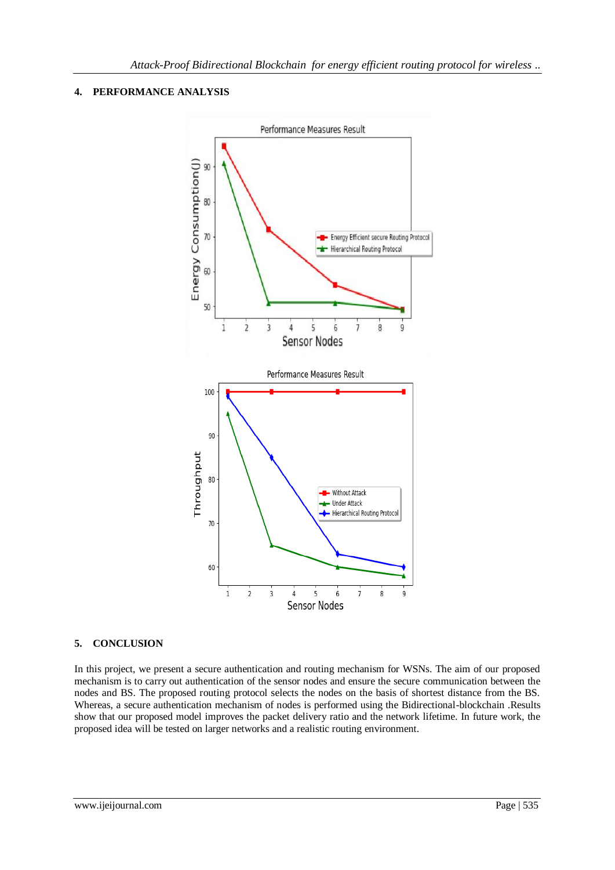# **4. PERFORMANCE ANALYSIS**



#### **5. CONCLUSION**

In this project, we present a secure authentication and routing mechanism for WSNs. The aim of our proposed mechanism is to carry out authentication of the sensor nodes and ensure the secure communication between the nodes and BS. The proposed routing protocol selects the nodes on the basis of shortest distance from the BS. Whereas, a secure authentication mechanism of nodes is performed using the Bidirectional-blockchain .Results show that our proposed model improves the packet delivery ratio and the network lifetime. In future work, the proposed idea will be tested on larger networks and a realistic routing environment.